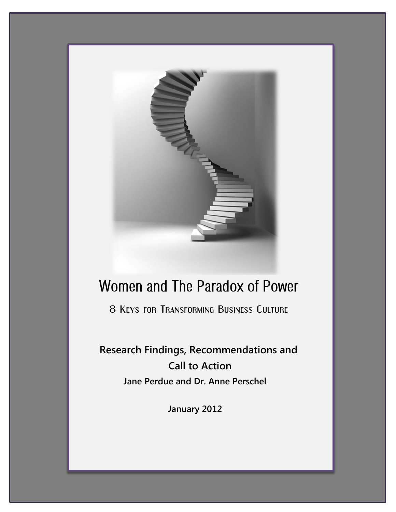

# Women and The Paradox of Power

8 Keys for Transforming Business Culture

**Research Findings, Recommendations and Call to Action Jane Perdue and Dr. Anne Perschel**

**January 2012**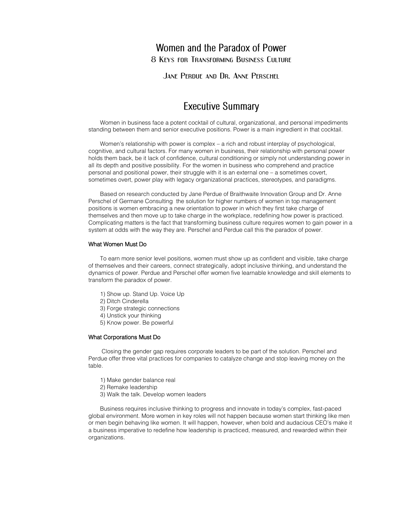# Women and the Paradox of Power 8 Keys for Transforming Business Culture

Jane Perdue and Dr. Anne Perschel

# **Executive Summary**

Women in business face a potent cocktail of cultural, organizational, and personal impediments standing between them and senior executive positions. Power is a main ingredient in that cocktail.

Women's relationship with power is complex – a rich and robust interplay of psychological, cognitive, and cultural factors. For many women in business, their relationship with personal power holds them back, be it lack of confidence, cultural conditioning or simply not understanding power in all its depth and positive possibility. For the women in business who comprehend and practice personal and positional power, their struggle with it is an external one – a sometimes covert, sometimes overt, power play with legacy organizational practices, stereotypes, and paradigms.

Based on research conducted by Jane Perdue of Braithwaite Innovation Group and Dr. Anne Perschel of Germane Consulting the solution for higher numbers of women in top management positions is women embracing a new orientation to power in which they first take charge of themselves and then move up to take charge in the workplace, redefining how power is practiced. Complicating matters is the fact that transforming business culture requires women to gain power in a system at odds with the way they are. Perschel and Perdue call this the paradox of power.

#### What Women Must Do

To earn more senior level positions, women must show up as confident and visible, take charge of themselves and their careers, connect strategically, adopt inclusive thinking, and understand the dynamics of power. Perdue and Perschel offer women five learnable knowledge and skill elements to transform the paradox of power.

- 1) Show up. Stand Up. Voice Up
- 2) Ditch Cinderella
- 3) Forge strategic connections
- 4) Unstick your thinking
- 5) Know power. Be powerful

#### What Corporations Must Do

Closing the gender gap requires corporate leaders to be part of the solution. Perschel and Perdue offer three vital practices for companies to catalyze change and stop leaving money on the table.

- 1) Make gender balance real
- 2) Remake leadership
- 3) Walk the talk. Develop women leaders

Business requires inclusive thinking to progress and innovate in today's complex, fast-paced global environment. More women in key roles will not happen because women start thinking like men or men begin behaving like women. It will happen, however, when bold and audacious CEO's make it a business imperative to redefine how leadership is practiced, measured, and rewarded within their organizations.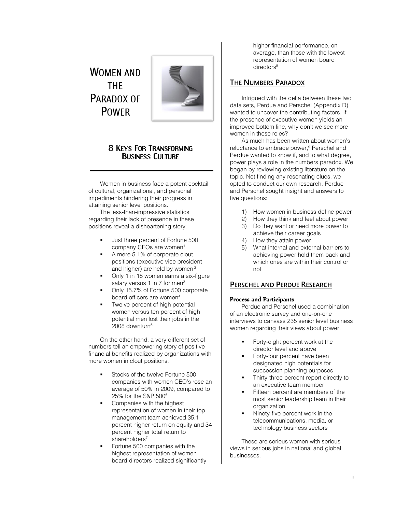# **WOMEN AND THE** PARADOX OF **POWFR**



## 8 KEYS FOR TRANSFORMING BUSINESS CULTURE

Women in business face a potent cocktail of cultural, organizational, and personal impediments hindering their progress in attaining senior level positions.

The less-than-impressive statistics regarding their lack of presence in these positions reveal a disheartening story.

- Just three percent of Fortune 500 company CEOs are women<sup>1</sup>
- A mere 5.1% of corporate clout positions (executive vice president and higher) are held by women<sup>2</sup>
- Only 1 in 18 women earns a six-figure salary versus 1 in 7 for men<sup>3</sup>
- Only 15.7% of Fortune 500 corporate board officers are women<sup>4</sup>
- Twelve percent of high potential women versus ten percent of high potential men lost their jobs in the 2008 downturn<sup>5</sup>

On the other hand, a very different set of numbers tell an empowering story of positive financial benefits realized by organizations with more women in clout positions.

- Stocks of the twelve Fortune 500 companies with women CEO's rose an average of 50% in 2009, compared to 25% for the S&P 500<sup>6</sup>
- Companies with the highest representation of women in their top management team achieved 35.1 percent higher return on equity and 34 percent higher total return to shareholders<sup>7</sup>
- Fortune 500 companies with the highest representation of women board directors realized significantly

higher financial performance, on average, than those with the lowest representation of women board directors<sup>8</sup>

## **THE NUMBERS PARADOX**

Intrigued with the delta between these two data sets, Perdue and Perschel (Appendix D) wanted to uncover the contributing factors. If the presence of executive women yields an improved bottom line, why don't we see more women in these roles?

As much has been written about women's reluctance to embrace power,<sup>9</sup> Perschel and Perdue wanted to know if, and to what degree, power plays a role in the numbers paradox. We began by reviewing existing literature on the topic. Not finding any resonating clues, we opted to conduct our own research. Perdue and Perschel sought insight and answers to five questions:

- 1) How women in business define power
- 2) How they think and feel about power
- 3) Do they want or need more power to achieve their career goals
- 4) How they attain power
- 5) What internal and external barriers to achieving power hold them back and which ones are within their control or not

## **PERSCHEL AND PERDUE RESEARCH**

### Process and Participants

Perdue and Perschel used a combination of an electronic survey and one-on-one interviews to canvass 235 senior level business women regarding their views about power.

- Forty-eight percent work at the director level and above
- Forty-four percent have been designated high potentials for succession planning purposes
- Thirty-three percent report directly to an executive team member
- Fifteen percent are members of the most senior leadership team in their organization
- Ninety-five percent work in the telecommunications, media, or technology business sectors

These are serious women with serious views in serious jobs in national and global businesses.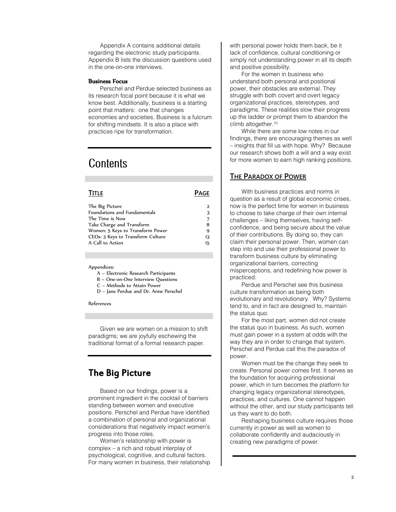Appendix A contains additional details regarding the electronic study participants. Appendix B lists the discussion questions used in the one-on-one interviews.

#### Business Focus

Perschel and Perdue selected business as its research focal point because it is what we know best. Additionally, business is a starting point that matters: one that changes economies and societies. Business is a fulcrum for shifting mindsets. It is also a place with practices ripe for transformation.

# **Contents**

#### **TITLE PAGE**

| The Big Picture                     | 2  |
|-------------------------------------|----|
| <b>Foundations and Fundamentals</b> | 3  |
| The Time is Now                     |    |
| Take Charge and Transform           | 8  |
| Women: 5 Keys to Transform Power    | q  |
| CEOs: 3 Keys to Transform Culture   | 13 |
| A Call to Action                    | 15 |
|                                     |    |

#### Appendices:

- A Electronic Research Participants
- B One-on-One Interview Questions
- C Methods to Attain Power
- D Jane Perdue and Dr. Anne Perschel

#### References

Given we are women on a mission to shift paradigms; we are joyfully eschewing the traditional format of a formal research paper.

## The Big Picture

Based on our findings, power is a prominent ingredient in the cocktail of barriers standing between women and executive positions. Perschel and Perdue have identified a combination of personal and organizational considerations that negatively impact women's progress into those roles.

Women's relationship with power is complex – a rich and robust interplay of psychological, cognitive, and cultural factors. For many women in business, their relationship with personal power holds them back, be it lack of confidence, cultural conditioning or simply not understanding power in all its depth and positive possibility.

For the women in business who understand both personal and positional power, their obstacles are external. They struggle with both covert and overt legacy organizational practices, stereotypes, and paradigms. These realities slow their progress up the ladder or prompt them to abandon the climb altogether.<sup>10</sup>

While there are some low notes in our findings, there are encouraging themes as well – insights that fill us with hope. Why? Because our research shows both a will and a way exist for more women to earn high ranking positions.

#### **THE PARADOX OF POWER**

With business practices and norms in question as a result of global economic crises, now is the perfect time for women in business to choose to take charge of their own internal challenges – liking themselves, having selfconfidence, and being secure about the value of their contributions. By doing so, they can claim their personal power. Then, women can step into and use their professional power to transform business culture by eliminating organizational barriers, correcting misperceptions, and redefining how power is practiced.

Perdue and Perschel see this business culture transformation as being both evolutionary and revolutionary. Why? Systems tend to, and in fact are designed to, maintain the status quo.

For the most part, women did not create the status quo in business. As such, women must gain power in a system at odds with the way they are in order to change that system. Perschel and Perdue call this the paradox of power.

Women must be the change they seek to create. Personal power comes first. It serves as the foundation for acquiring professional power, which in turn becomes the platform for changing legacy organizational stereotypes, practices, and cultures. One cannot happen without the other, and our study participants tell us they want to do both.

Reshaping business culture requires those currently in power as well as women to collaborate confidently and audaciously in creating new paradigms of power.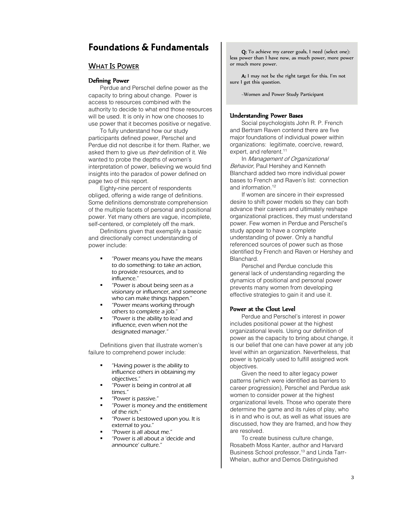# Foundations & Fundamentals

## **WHAT IS POWER**

#### Defining Power

Perdue and Perschel define power as the capacity to bring about change. Power is access to resources combined with the authority to decide to what end those resources will be used. It is only in how one chooses to use power that it becomes positive or negative.

To fully understand how our study participants defined power, Perschel and Perdue did not describe it for them. Rather, we asked them to give us their definition of it. We wanted to probe the depths of women's interpretation of power, believing we would find insights into the paradox of power defined on page two of this report.

Eighty-nine percent of respondents obliged, offering a wide range of definitions. Some definitions demonstrate comprehension of the multiple facets of personal and positional power. Yet many others are vague, incomplete, self-centered, or completely off the mark.

Definitions given that exemplify a basic and directionally correct understanding of power include:

- "Power means you have the means to do something: to take an action, to provide resources, and to influence."
- "Power is about being seen as a visionary or influencer, and someone who can make things happen."
- "Power means working through others to complete a job."
- "Power is the ability to lead and influence, even when not the designated manager."

Definitions given that illustrate women's failure to comprehend power include:

- "Having power is the ability to influence others in obtaining my objectives."
- "Power is being in control at all times."
- "Power is passive."
- "Power is money and the entitlement of the rich."
- "Power is bestowed upon you. It is external to you."
- "Power is all about me."
- "Power is all about a 'decide and announce' culture."

Q: To achieve my career goals, I need (select one): less power than I have now, as much power, more power or much more power.

A: I may not be the right target for this. I'm not sure I get this question.

~Women and Power Study Participant

#### Understanding Power Bases

Social psychologists John R. P. French and Bertram Raven contend there are five major foundations of individual power within organizations: legitimate, coercive, reward, expert, and referent.<sup>11</sup>

In Management of Organizational Behavior, Paul Hershey and Kenneth Blanchard added two more individual power bases to French and Raven's list: connection and information. 12

If women are sincere in their expressed desire to shift power models so they can both advance their careers and ultimately reshape organizational practices, they must understand power. Few women in Perdue and Perschel's study appear to have a complete understanding of power. Only a handful referenced sources of power such as those identified by French and Raven or Hershey and **Blanchard** 

Perschel and Perdue conclude this general lack of understanding regarding the dynamics of positional and personal power prevents many women from developing effective strategies to gain it and use it.

#### Power at the Clout Level

Perdue and Perschel's interest in power includes positional power at the highest organizational levels. Using our definition of power as the capacity to bring about change, it is our belief that one can have power at any job level within an organization. Nevertheless, that power is typically used to fulfill assigned work objectives.

Given the need to alter legacy power patterns (which were identified as barriers to career progression), Perschel and Perdue ask women to consider power at the highest organizational levels. Those who operate there determine the game and its rules of play, who is in and who is out, as well as what issues are discussed, how they are framed, and how they are resolved.

To create business culture change, Rosabeth Moss Kanter, author and Harvard Business School professor,<sup>13</sup> and Linda Tarr-Whelan, author and Demos Distinguished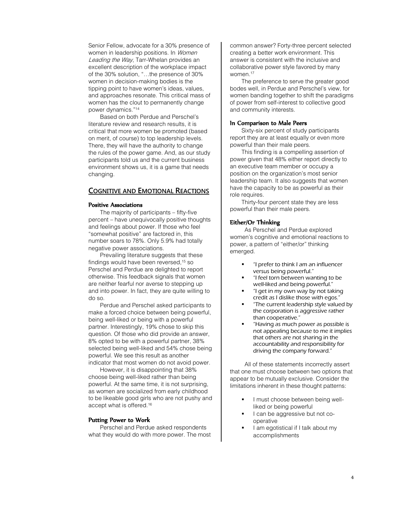Senior Fellow, advocate for a 30% presence of women in leadership positions. In Women Leading the Way, Tarr-Whelan provides an excellent description of the workplace impact of the 30% solution, "…the presence of 30% women in decision-making bodies is the tipping point to have women's ideas, values, and approaches resonate. This critical mass of women has the clout to permanently change power dynamics." 14

Based on both Perdue and Perschel's literature review and research results, it is critical that more women be promoted (based on merit, of course) to top leadership levels. There, they will have the authority to change the rules of the power game. And, as our study participants told us and the current business environment shows us, it is a game that needs changing.

## **COGNITIVE AND EMOTIONAL REACTIONS**

#### Positive Associations

The majority of participants – fifty-five percent – have unequivocally positive thoughts and feelings about power. If those who feel "somewhat positive" are factored in, this number soars to 78%. Only 5.9% had totally negative power associations.

Prevailing literature suggests that these findings would have been reversed,<sup>15</sup> so Perschel and Perdue are delighted to report otherwise. This feedback signals that women are neither fearful nor averse to stepping up and into power. In fact, they are quite willing to do so.

Perdue and Perschel asked participants to make a forced choice between being powerful, being well-liked or being with a powerful partner. Interestingly, 19% chose to skip this question. Of those who did provide an answer, 8% opted to be with a powerful partner, 38% selected being well-liked and 54% chose being powerful. We see this result as another indicator that most women do not avoid power.

However, it is disappointing that 38% choose being well-liked rather than being powerful. At the same time, it is not surprising, as women are socialized from early childhood to be likeable good girls who are not pushy and accept what is offered.<sup>16</sup>

#### Putting Power to Work

Perschel and Perdue asked respondents what they would do with more power. The most common answer? Forty-three percent selected creating a better work environment. This answer is consistent with the inclusive and collaborative power style favored by many women. 17

The preference to serve the greater good bodes well, in Perdue and Perschel's view, for women banding together to shift the paradigms of power from self-interest to collective good and community interests.

#### In Comparison to Male Peers

Sixty-six percent of study participants report they are at least equally or even more powerful than their male peers.

This finding is a compelling assertion of power given that 48% either report directly to an executive team member or occupy a position on the organization's most senior leadership team. It also suggests that women have the capacity to be as powerful as their role requires.

Thirty-four percent state they are less powerful than their male peers.

#### Either/Or Thinking

As Perschel and Perdue explored women's cognitive and emotional reactions to power, a pattern of "either/or" thinking emerged.

- "I prefer to think I am an influencer versus being powerful."
- "I feel torn between wanting to be well-liked and being powerful."
- "I get in my own way by not taking credit as I dislike those with egos."
- "The current leadership style valued by the corporation is aggressive rather than cooperative."
- "Having as much power as possible is not appealing because to me it implies that others are not sharing in the accountability and responsibility for driving the company forward."

All of these statements incorrectly assert that one must choose between two options that appear to be mutually exclusive. Consider the limitations inherent in these thought patterns:

- I must choose between being wellliked or being powerful
- I can be aggressive but not cooperative
- I am egotistical if I talk about my accomplishments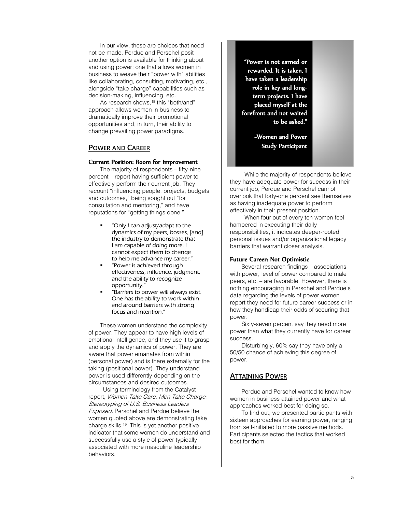In our view, these are choices that need not be made. Perdue and Perschel posit another option is available for thinking about and using power: one that allows women in business to weave their "power with" abilities like collaborating, consulting, motivating, etc., alongside "take charge" capabilities such as decision-making, influencing, etc.

As research shows, <sup>18</sup> this "both/and" approach allows women in business to dramatically improve their promotional opportunities and, in turn, their ability to change prevailing power paradigms.

## **POWER AND CAREER**

#### Current Position: Room for Improvement

The majority of respondents – fifty-nine percent – report having sufficient power to effectively perform their current job. They recount "influencing people, projects, budgets and outcomes," being sought out "for consultation and mentoring," and have reputations for "getting things done."

- "Only I can adjust/adapt to the dynamics of my peers, bosses, [and] the industry to demonstrate that I am capable of doing more. I cannot expect them to change to help me advance my career."
- "Power is achieved through effectiveness, influence, judgment, and the ability to recognize opportunity."
- "Barriers to power will always exist. One has the ability to work within and around barriers with strong focus and intention."

These women understand the complexity of power. They appear to have high levels of emotional intelligence, and they use it to grasp and apply the dynamics of power. They are aware that power emanates from within (personal power) and is there externally for the taking (positional power). They understand power is used differently depending on the circumstances and desired outcomes.

Using terminology from the Catalyst report, Women Take Care, Men Take Charge: Stereotyping of U.S. Business Leaders **Exposed, Perschel and Perdue believe the** women quoted above are demonstrating take charge skills.<sup>19</sup> This is yet another positive indicator that some women do understand and successfully use a style of power typically associated with more masculine leadership behaviors.

"Power is not earned or rewarded. It is taken. I have taken a leadership role in key and longterm projects. I have placed myself at the forefront and not waited to be asked."

> ~Women and Power Study Participant

While the majority of respondents believe they have adequate power for success in their current job, Perdue and Perschel cannot overlook that forty-one percent see themselves as having inadequate power to perform effectively in their present position.

When four out of every ten women feel hampered in executing their daily responsibilities, it indicates deeper-rooted personal issues and/or organizational legacy barriers that warrant closer analysis.

#### Future Career: Not Optimistic

Several research findings – associations with power, level of power compared to male peers, etc. – are favorable. However, there is nothing encouraging in Perschel and Perdue's data regarding the levels of power women report they need for future career success or in how they handicap their odds of securing that power.

Sixty-seven percent say they need more power than what they currently have for career success.

Disturbingly, 60% say they have only a 50/50 chance of achieving this degree of power.

## **ATTAINING POWER**

Perdue and Perschel wanted to know how women in business attained power and what approaches worked best for doing so.

To find out, we presented participants with sixteen approaches for earning power, ranging from self-initiated to more passive methods. Participants selected the tactics that worked best for them.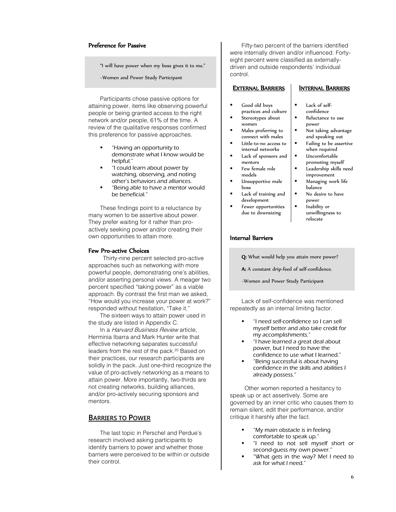#### Preference for Passive

"I will have power when my boss gives it to me."

~Women and Power Study Participant

Participants chose passive options for attaining power, items like observing powerful people or being granted access to the right network and/or people, 61% of the time. A review of the qualitative responses confirmed this preference for passive approaches.

- "Having an opportunity to demonstrate what I know would be helpful."
- "I could learn about power by watching, observing, and noting other's behaviors and alliances.
- "Being able to have a mentor would be beneficial."

These findings point to a reluctance by many women to be assertive about power. They prefer waiting for it rather than proactively seeking power and/or creating their own opportunities to attain more.

#### Few Pro-active Choices

Thirty-nine percent selected pro-active approaches such as networking with more powerful people, demonstrating one's abilities, and/or asserting personal views. A meager two percent specified "taking power" as a viable approach. By contrast the first man we asked, "How would you increase your power at work?" responded without hesitation, "Take it."

The sixteen ways to attain power used in the study are listed in Appendix C.

In a *Harvard Business Review* article, Herminia Ibarra and Mark Hunter write that effective networking separates successful leaders from the rest of the pack.<sup>20</sup> Based on their practices, our research participants are solidly in the pack. Just one-third recognize the value of pro-actively networking as a means to attain power. More importantly, two-thirds are not creating networks, building alliances, and/or pro-actively securing sponsors and mentors.

## **BARRIERS TO POWER**

The last topic in Perschel and Perdue's research involved asking participants to identify barriers to power and whether those barriers were perceived to be within or outside their control.

Fifty-two percent of the barriers identified were internally driven and/or influenced. Fortyeight percent were classified as externallydriven and outside respondents' individual control.

#### EXTERNAL BARRIERS

- Good old boys practices and culture
- Stereotypes about women
- Males preferring to connect with males
- Little-to-no access to internal networks
- Lack of sponsors and mentors
- Few female role models
- Unsupportive male boss
- Lack of training and development
	- Fewer opportunities due to downsizing

## INTERNAL BARRIERS

- Lack of selfconfidence
- Reluctance to use power
- Not taking advantage and speaking out
- Failing to be assertive when required
- Uncomfortable
	- promoting myself Leadership skills need
- improvement Managing work life
- balance No desire to have power
- Inability or unwillingness to relocate

### Internal Barriers

Q: What would help you attain more power?

A: A constant drip-feed of self-confidence.

~Women and Power Study Participant

Lack of self-confidence was mentioned repeatedly as an internal limiting factor.

- "I need self-confidence so I can sell myself better and also take credit for my accomplishments."
- "I have learned a great deal about power, but I need to have the confidence to use what I learned."
- "Being successful is about having confidence in the skills and abilities I already possess."

Other women reported a hesitancy to speak up or act assertively. Some are governed by an inner critic who causes them to remain silent, edit their performance, and/or critique it harshly after the fact.

- "My main obstacle is in feeling comfortable to speak up."
- "I need to not sell myself short or second-guess my own power."
- "What gets in the way? Me! I need to ask for what I need."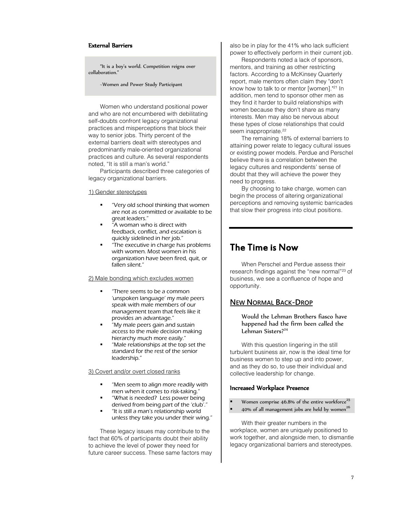#### External Barriers

"It is a boy's world. Competition reigns over collaboration."

~Women and Power Study Participant

Women who understand positional power and who are not encumbered with debilitating self-doubts confront legacy organizational practices and misperceptions that block their way to senior jobs. Thirty percent of the external barriers dealt with stereotypes and predominantly male-oriented organizational practices and culture. As several respondents noted, "It is still a man's world."

Participants described three categories of legacy organizational barriers.

#### 1) Gender stereotypes

- "Very old school thinking that women are not as committed or available to be great leaders."
- "A woman who is direct with feedback, conflict, and escalation is quickly sidelined in her job."
- "The executive in charge has problems with women. Most women in his organization have been fired, quit, or fallen silent."

#### 2) Male bonding which excludes women

- "There seems to be a common 'unspoken language' my male peers speak with male members of our management team that feels like it provides an advantage."
- "My male peers gain and sustain access to the male decision making hierarchy much more easily."
- "Male relationships at the top set the standard for the rest of the senior leadership."

#### 3) Covert and/or overt closed ranks

- "Men seem to align more readily with men when it comes to risk-taking."
- "What is needed? Less power being derived from being part of the 'club'."
- "It is still a man's relationship world unless they take you under their wing."

These legacy issues may contribute to the fact that 60% of participants doubt their ability to achieve the level of power they need for future career success. These same factors may also be in play for the 41% who lack sufficient power to effectively perform in their current job.

Respondents noted a lack of sponsors, mentors, and training as other restricting factors. According to a McKinsey Quarterly report, male mentors often claim they "don't know how to talk to or mentor [women]." <sup>21</sup> In addition, men tend to sponsor other men as they find it harder to build relationships with women because they don't share as many interests. Men may also be nervous about these types of close relationships that could seem inappropriate.<sup>22</sup>

The remaining 18% of external barriers to attaining power relate to legacy cultural issues or existing power models. Perdue and Perschel believe there is a correlation between the legacy cultures and respondents' sense of doubt that they will achieve the power they need to progress.

By choosing to take charge, women can begin the process of altering organizational perceptions and removing systemic barricades that slow their progress into clout positions.

## The Time is Now

When Perschel and Perdue assess their research findings against the "new normal"<sup>23</sup> of business, we see a confluence of hope and opportunity.

## **NEW NORMAL BACK-DROP**

Would the Lehman Brothers fiasco have happened had the firm been called the Lehman Sisters?<sup>24</sup>

With this question lingering in the still turbulent business air, now is the ideal time for business women to step up and into power, and as they do so, to use their individual and collective leadership for change.

### Increased Workplace Presence

- Women comprise  $46.8\%$  of the entire workforce<sup>25</sup>
- 40% of all management jobs are held by women $^{26}$

With their greater numbers in the workplace, women are uniquely positioned to work together, and alongside men, to dismantle legacy organizational barriers and stereotypes.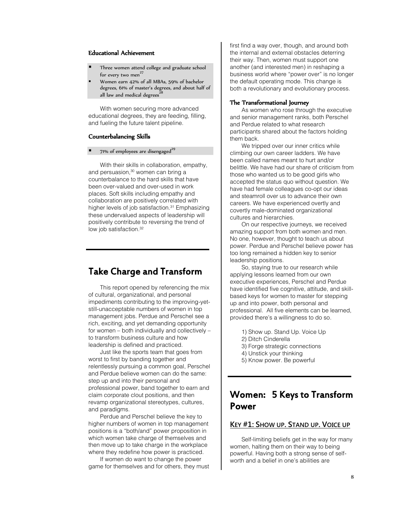### Educational Achievement

- Three women attend college and graduate school for every two men $^{27}$
- Women earn 42% of all MBAs, 59% of bachelor degrees, 61% of master's degrees, and about half of all law and medical degrees<sup>3</sup>

With women securing more advanced educational degrees, they are feeding, filling, and fueling the future talent pipeline.

#### Counterbalancing Skills

#### 71% of employees are disengaged<sup>29</sup>

With their skills in collaboration, empathy, and persuasion.<sup>30</sup> women can bring a counterbalance to the hard skills that have been over-valued and over-used in work places. Soft skills including empathy and collaboration are positively correlated with higher levels of job satisfaction.<sup>31</sup> Emphasizing these undervalued aspects of leadership will positively contribute to reversing the trend of low job satisfaction. 32

## Take Charge and Transform

This report opened by referencing the mix of cultural, organizational, and personal impediments contributing to the improving-yetstill-unacceptable numbers of women in top management jobs. Perdue and Perschel see a rich, exciting, and yet demanding opportunity for women – both individually and collectively – to transform business culture and how leadership is defined and practiced.

Just like the sports team that goes from worst to first by banding together and relentlessly pursuing a common goal, Perschel and Perdue believe women can do the same: step up and into their personal and professional power, band together to earn and claim corporate clout positions, and then revamp organizational stereotypes, cultures, and paradigms.

Perdue and Perschel believe the key to higher numbers of women in top management positions is a "both/and" power proposition in which women take charge of themselves and then move up to take charge in the workplace where they redefine how power is practiced.

If women do want to change the power game for themselves and for others, they must first find a way over, though, and around both the internal and external obstacles deterring their way. Then, women must support one another (and interested men) in reshaping a business world where "power over" is no longer the default operating mode. This change is both a revolutionary and evolutionary process.

#### The Transformational Journey

As women who rose through the executive and senior management ranks, both Perschel and Perdue related to what research participants shared about the factors holding them back.

We tripped over our inner critics while climbing our own career ladders. We have been called names meant to hurt and/or belittle. We have had our share of criticism from those who wanted us to be good girls who accepted the status quo without question. We have had female colleagues co-opt our ideas and steamroll over us to advance their own careers. We have experienced overtly and covertly male-dominated organizational cultures and hierarchies.

On our respective journeys, we received amazing support from both women and men. No one, however, thought to teach us about power. Perdue and Perschel believe power has too long remained a hidden key to senior leadership positions.

So, staying true to our research while applying lessons learned from our own executive experiences, Perschel and Perdue have identified five cognitive, attitude, and skillbased keys for women to master for stepping up and into power, both personal and professional. All five elements can be learned, provided there's a willingness to do so.

- 1) Show up. Stand Up. Voice Up
- 2) Ditch Cinderella
- 3) Forge strategic connections
- 4) Unstick your thinking
- 5) Know power. Be powerful

# Women: 5 Keys to Transform Power

## **KEY #1: SHOW UP. STAND UP. VOICE UP**

Self-limiting beliefs get in the way for many women, halting them on their way to being powerful. Having both a strong sense of selfworth and a belief in one's abilities are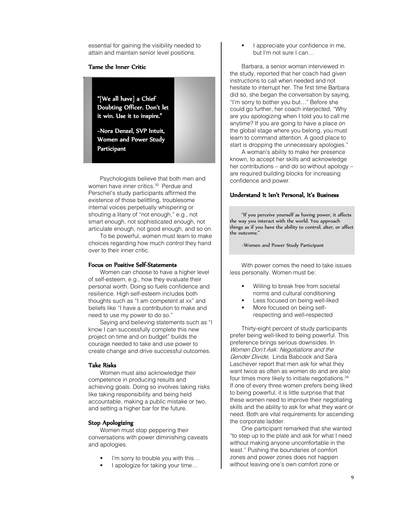essential for gaining the visibility needed to attain and maintain senior level positions.

#### Tame the Inner Critic

"[We all have] a Chief Doubting Officer. Don't let it win. Use it to inspire."

~Nora Denzel, SVP Intuit, Women and Power Study Participant

Psychologists believe that both men and women have inner critics.<sup>33</sup> Perdue and Perschel's study participants affirmed the existence of those belittling, troublesome internal voices perpetually whispering or shouting a litany of "not enough," e.g., not smart enough, not sophisticated enough, not articulate enough, not good enough, and so on.

To be powerful, women must learn to make choices regarding how much control they hand over to their inner critic.

#### Focus on Positive Self-Statements

Women can choose to have a higher level of self-esteem, e.g., how they evaluate their personal worth. Doing so fuels confidence and resilience. High self-esteem includes both thoughts such as "I am competent at xx" and beliefs like "I have a contribution to make and need to use my power to do so."

Saying and believing statements such as "I know I can successfully complete this new project on time and on budget" builds the courage needed to take and use power to create change and drive successful outcomes.

#### Take Risks

Women must also acknowledge their competence in producing results and achieving goals. Doing so involves taking risks like taking responsibility and being held accountable, making a public mistake or two, and setting a higher bar for the future.

#### Stop Apologizing

Women must stop peppering their conversations with power diminishing caveats and apologies.

- I'm sorry to trouble you with this…
- I apologize for taking your time…

 I appreciate your confidence in me, but I'm not sure I can…

Barbara, a senior woman interviewed in the study, reported that her coach had given instructions to call when needed and not hesitate to interrupt her. The first time Barbara did so, she began the conversation by saying, "I'm sorry to bother you but…" Before she could go further, her coach interjected, "Why are you apologizing when I told you to call me anytime? If you are going to have a place on the global stage where you belong, you must learn to command attention. A good place to start is dropping the unnecessary apologies."

A woman's ability to make her presence known, to accept her skills and acknowledge her contributions – and do so without apology – are required building blocks for increasing confidence and power.

#### Understand It Isn't Personal, It's Business

"If you perceive yourself as having power, it affects the way you interact with the world. You approach things as if you have the ability to control, alter, or affect the outcome."

~Women and Power Study Participant

With power comes the need to take issues less personally. Women must be:

- Willing to break free from societal norms and cultural conditioning
- Less focused on being well-liked
- More focused on being selfrespecting and well-respected

Thirty-eight percent of study participants prefer being well-liked to being powerful. This preference brings serious downsides. In Women Don't Ask: Negotiations and the Gender Divide, Linda Babcock and Sara Laschever report that men ask for what they want twice as often as women do and are also four times more likely to initiate negotiations. 34 If one of every three women prefers being liked to being powerful, it is little surprise that that these women need to improve their negotiating skills and the ability to ask for what they want or need. Both are vital requirements for ascending the corporate ladder.

One participant remarked that she wanted "to step up to the plate and ask for what I need without making anyone uncomfortable in the least." Pushing the boundaries of comfort zones and power zones does not happen without leaving one's own comfort zone or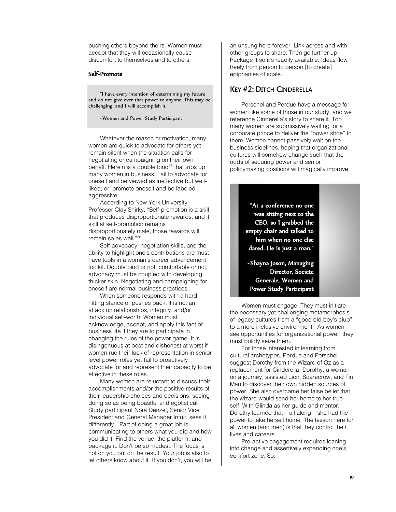pushing others beyond theirs. Women must accept that they will occasionally cause discomfort to themselves and to others.

#### Self-Promote

"I have every intention of determining my future and do not give over that power to anyone. This may be challenging, and I will accomplish it."

~Women and Power Study Participant

Whatever the reason or motivation, many women are quick to advocate for others yet remain silent when the situation calls for negotiating or campaigning on their own behalf. Herein is a double bind<sup>35</sup> that trips up many women in business. Fail to advocate for oneself and be viewed as ineffective but wellliked; or, promote oneself and be labeled aggressive.

According to New York University Professor Clay Shirky, "Self-promotion is a skill that produces disproportionate rewards, and if skill at self-promotion remains disproportionately male, those rewards will remain so as well."<sup>36</sup>

Self-advocacy, negotiation skills, and the ability to highlight one's contributions are musthave tools in a woman's career advancement toolkit. Double bind or not, comfortable or not, advocacy must be coupled with developing thicker skin. Negotiating and campaigning for oneself are normal business practices.

When someone responds with a hardhitting stance or pushes back, it is not an attack on relationships, integrity, and/or individual self-worth. Women must acknowledge, accept, and apply this fact of business life if they are to participate in changing the rules of the power game. It is disingenuous at best and dishonest at worst if women rue their lack of representation in senior level power roles yet fail to proactively advocate for and represent their capacity to be effective in these roles.

Many women are reluctant to discuss their accomplishments and/or the positive results of their leadership choices and decisions, seeing doing so as being boastful and egotistical. Study participant Nora Denzel, Senior Vice President and General Manager Intuit, sees it differently, "Part of doing a great job is communicating to others what you did and how you did it. Find the venue, the platform, and package it. Don't be so modest. The focus is not on you but on the result. Your job is also to let others know about it. If you don't, you will be

an unsung hero forever. Link across and with other groups to share. Then go further up. Package it so it's readily available. Ideas flow freely from person to person [to create] epiphanies of scale."

## **KEY #2: DITCH CINDERELLA**

Perschel and Perdue have a message for women like some of those in our study, and we reference Cinderella's story to share it. Too many women are submissively waiting for a corporate prince to deliver the "power shoe" to them. Women cannot passively wait on the business sidelines, hoping that organizational cultures will somehow change such that the odds of securing power and senior policymaking positions will magically improve.

> "At a conference no one was sitting next to the CEO, so I grabbed the empty chair and talked to him when no one else dared. He is just a man."

~Shayna Joson, Managing Director, Societe Generale, Women and Power Study Participant

Women must engage. They must initiate the necessary yet challenging metamorphosis of legacy cultures from a "good old boy's club" to a more inclusive environment. As women see opportunities for organizational power, they must boldly seize them.

For those interested in learning from cultural archetypes, Perdue and Perschel suggest Dorothy from the Wizard of Oz as a replacement for Cinderella. Dorothy, a woman on a journey, assisted Lion, Scarecrow, and Tin Man to discover their own hidden sources of power. She also overcame her false belief that the wizard would send her home to her true self. With Glinda as her guide and mentor, Dorothy learned that – all along – she had the power to take herself home. The lesson here for all women (and men) is that they control their lives and careers.

Pro-active engagement requires leaning into change and assertively expanding one's comfort zone. So: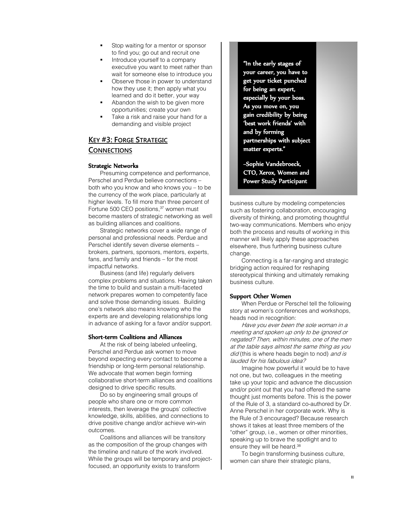- Stop waiting for a mentor or sponsor to find you; go out and recruit one
- Introduce yourself to a company executive you want to meet rather than wait for someone else to introduce you
- Observe those in power to understand how they use it; then apply what you learned and do it better, your way
- Abandon the wish to be given more opportunities; create your own
- Take a risk and raise your hand for a demanding and visible project

## **KEY #3: FORGE STRATEGIC CONNECTIONS**

#### Strategic Networks

Presuming competence and performance, Perschel and Perdue believe connections – both who you know and who knows you – to be the currency of the work place, particularly at higher levels. To fill more than three percent of Fortune 500 CEO positions, <sup>37</sup> women must become masters of strategic networking as well as building alliances and coalitions.

Strategic networks cover a wide range of personal and professional needs. Perdue and Perschel identify seven diverse elements – brokers, partners, sponsors, mentors, experts, fans, and family and friends – for the most impactful networks.

Business (and life) regularly delivers complex problems and situations. Having taken the time to build and sustain a multi-faceted network prepares women to competently face and solve those demanding issues. Building one's network also means knowing who the experts are and developing relationships long in advance of asking for a favor and/or support.

#### Short-term Coalitions and Alliances

At the risk of being labeled unfeeling, Perschel and Perdue ask women to move beyond expecting every contact to become a friendship or long-term personal relationship. We advocate that women begin forming collaborative short-term alliances and coalitions designed to drive specific results.

Do so by engineering small groups of people who share one or more common interests, then leverage the groups' collective knowledge, skills, abilities, and connections to drive positive change and/or achieve win-win outcomes.

Coalitions and alliances will be transitory as the composition of the group changes with the timeline and nature of the work involved. While the groups will be temporary and projectfocused, an opportunity exists to transform

"In the early stages of your career, you have to get your ticket punched for being an expert, especially by your boss. As you move on, you gain credibility by being 'best work friends' with and by forming partnerships with subject matter experts."

~Sophie Vandebroeck, CTO, Xerox, Women and Power Study Participant

business culture by modeling competencies such as fostering collaboration, encouraging diversity of thinking, and promoting thoughtful two-way communications. Members who enjoy both the process and results of working in this manner will likely apply these approaches elsewhere, thus furthering business culture change.

Connecting is a far-ranging and strategic bridging action required for reshaping stereotypical thinking and ultimately remaking business culture.

#### Support Other Women

When Perdue or Perschel tell the following story at women's conferences and workshops, heads nod in recognition:

Have you ever been the sole woman in a meeting and spoken up only to be ignored or negated? Then, within minutes, one of the men at the table says almost the same thing as you did (this is where heads begin to nod) and is lauded for his fabulous idea?

Imagine how powerful it would be to have not one, but two, colleagues in the meeting take up your topic and advance the discussion and/or point out that you had offered the same thought just moments before. This is the power of the Rule of 3, a standard co-authored by Dr. Anne Perschel in her corporate work. Why is the Rule of 3 encouraged? Because research shows it takes at least three members of the "other" group, i.e., women or other minorities, speaking up to brave the spotlight and to ensure they will be heard.<sup>38</sup>

To begin transforming business culture, women can share their strategic plans,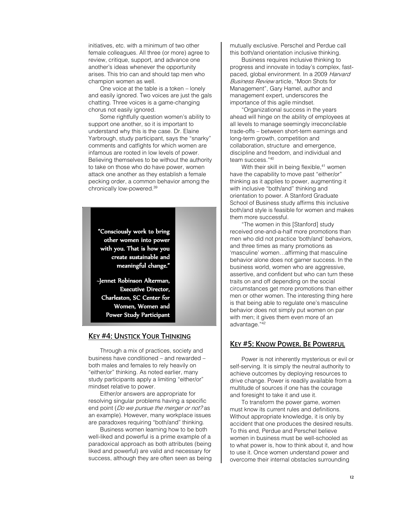initiatives, etc. with a minimum of two other female colleagues. All three (or more) agree to review, critique, support, and advance one another's ideas whenever the opportunity arises. This trio can and should tap men who champion women as well.

One voice at the table is a token – lonely and easily ignored. Two voices are just the gals chatting. Three voices is a game-changing chorus not easily ignored.

Some rightfully question women's ability to support one another, so it is important to understand why this is the case. Dr. Elaine Yarbrough, study participant, says the "snarky" comments and catfights for which women are infamous are rooted in low levels of power. Believing themselves to be without the authority to take on those who do have power, women attack one another as they establish a female pecking order, a common behavior among the chronically low-powered.<sup>39</sup>

"Consciously work to bring other women into power with you. That is how you create sustainable and meaningful change."

~Jennet Robinson Alterman, Executive Director, Charleston, SC Center for Women, Women and Power Study Participant

## **KEY #4: UNSTICK YOUR THINKING**

Through a mix of practices, society and business have conditioned – and rewarded – both males and females to rely heavily on "either/or" thinking. As noted earlier, many study participants apply a limiting "either/or" mindset relative to power.

Either/or answers are appropriate for resolving singular problems having a specific end point (*Do we pursue the merger or not?* as an example). However, many workplace issues are paradoxes requiring "both/and" thinking.

Business women learning how to be both well-liked and powerful is a prime example of a paradoxical approach as both attributes (being liked and powerful) are valid and necessary for success, although they are often seen as being mutually exclusive. Perschel and Perdue call this both/and orientation inclusive thinking.

Business requires inclusive thinking to progress and innovate in today's complex, fastpaced, global environment. In a 2009 Harvard Business Review article, "Moon Shots for Management", Gary Hamel, author and management expert, underscores the importance of this agile mindset.

"Organizational success in the years ahead will hinge on the ability of employees at all levels to manage seemingly irreconcilable trade-offs – between short-term earnings and long-term growth, competition and collaboration, structure and emergence, discipline and freedom, and individual and team success."<sup>40</sup>

With their skill in being flexible, <sup>41</sup> women have the capability to move past "either/or" thinking as it applies to power, augmenting it with inclusive "both/and" thinking and orientation to power. A Stanford Graduate School of Business study affirms this inclusive both/and style is feasible for women and makes them more successful.

"The women in this [Stanford] study received one-and-a-half more promotions than men who did not practice 'both/and' behaviors, and three times as many promotions as 'masculine' women…affirming that masculine behavior alone does not garner success. In the business world, women who are aggressive, assertive, and confident but who can turn these traits on and off depending on the social circumstances get more promotions than either men or other women. The interesting thing here is that being able to regulate one's masculine behavior does not simply put women on par with men; it gives them even more of an advantage."<sup>42</sup>

## **KEY #5: KNOW POWER. BE POWERFUL**

Power is not inherently mysterious or evil or self-serving. It is simply the neutral authority to achieve outcomes by deploying resources to drive change. Power is readily available from a multitude of sources if one has the courage and foresight to take it and use it.

To transform the power game, women must know its current rules and definitions. Without appropriate knowledge, it is only by accident that one produces the desired results. To this end, Perdue and Perschel believe women in business must be well-schooled as to what power is, how to think about it, and how to use it. Once women understand power and overcome their internal obstacles surrounding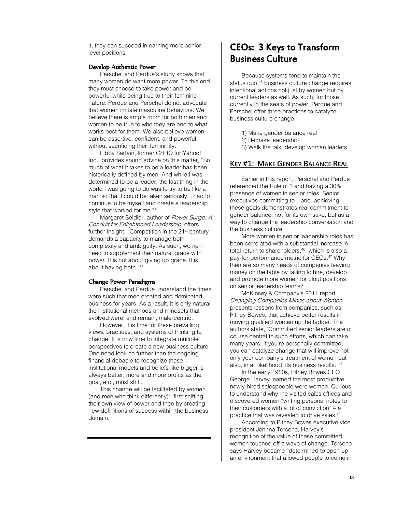it, they can succeed in earning more senior level positions.

#### Develop Authentic Power

Perschel and Perdue's study shows that many women do want more power. To this end, they must choose to take power and be powerful while being true to their feminine nature. Perdue and Perschel do not advocate that women imitate masculine behaviors. We believe there is ample room for both men and women to be true to who they are and to what works best for them. We also believe women can be assertive, confident, and powerful without sacrificing their femininity.

Libby Sartain, former CHRO for Yahoo! Inc., provides sound advice on this matter, "So much of what it takes to be a leader has been historically defined by men. And while I was determined to be a leader, the last thing in the world I was going to do was to try to be like a man so that I could be taken seriously. I had to continue to be myself and create a leadership style that worked for me."<sup>43</sup>

Margaret Seidler, author of Power Surge: A Conduit for Enlightened Leadership, offers further insight, "Competition in the 21<sup>st</sup> century demands a capacity to manage both complexity and ambiguity. As such, women need to supplement their natural grace with power. It is not about giving up grace. It is about having both." 44

#### Change Power Paradigms

I

Perschel and Perdue understand the times were such that men created and dominated business for years. As a result, it is only natural the institutional methods and mindsets that evolved were, and remain, male-centric.

However, it is time for these prevailing views, practices, and systems of thinking to change. It is now time to integrate multiple perspectives to create a new business culture. One need look no further than the ongoing financial debacle to recognize these institutional models and beliefs like bigger is always better, more and more profits as the goal, etc., must shift.

This change will be facilitated by women (and men who think differently): first shifting their own view of power and then by creating new definitions of success within the business domain.

# CEOs: 3 Keys to Transform Business Culture

Because systems tend to maintain the status quo,<sup>45</sup> business culture change requires intentional actions not just by women but by current leaders as well. As such, for those currently in the seats of power, Perdue and Perschel offer three practices to catalyze business culture change:

- 1) Make gender balance real
- 2) Remake leadership
- 3) Walk the talk: develop women leaders

### **KEY #1: MAKE GENDER BALANCE REAL**

Earlier in this report, Perschel and Perdue referenced the Rule of 3 and having a 30% presence of women in senior roles. Senior executives committing to – and achieving – these goals demonstrates real commitment to gender balance, not for its own sake, but as a way to change the leadership conversation and the business culture.

More women in senior leadership roles has been correlated with a substantial increase in total return to shareholders, <sup>46</sup> which is also a pay-for-performance metric for CEOs. <sup>47</sup> Why then are so many heads of companies leaving money on the table by failing to hire, develop, and promote more women for clout positions on senior leadership teams?

McKinsey & Company's 2011 report Changing Companies Minds about Women presents lessons from companies, such as Pitney Bowes, that achieve better results in moving qualified women up the ladder. The authors state, "Committed senior leaders are of course central to such efforts, which can take many years. If you're personally committed, you can catalyze change that will improve not only your company's treatment of women but also, in all likelihood, its business results." 48

In the early 1980s, Pitney Bowes CEO George Harvey learned the most productive newly-hired salespeople were women. Curious to understand why, he visited sales offices and discovered women "writing personal notes to their customers with a lot of conviction" – a practice that was revealed to drive sales.<sup>49</sup>

According to Pitney Bowes executive vice president Johnna Torsone, Harvey's recognition of the value of these committed women touched off a wave of change. Torsone says Harvey became "determined to open up an environment that allowed people to come in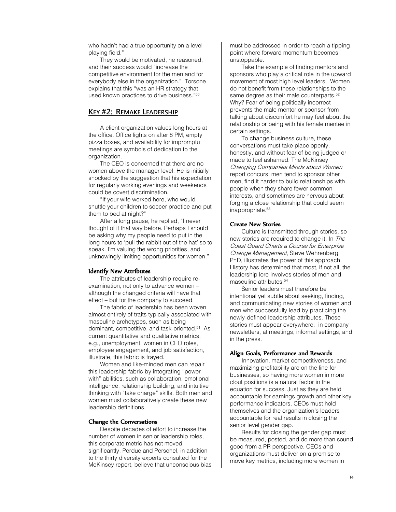who hadn't had a true opportunity on a level playing field."

They would be motivated, he reasoned, and their success would "increase the competitive environment for the men and for everybody else in the organization." Torsone explains that this "was an HR strategy that used known practices to drive business." 50

## **KEY #2: REMAKE LEADERSHIP**

A client organization values long hours at the office. Office lights on after 8 PM, empty pizza boxes, and availability for impromptu meetings are symbols of dedication to the organization.

The CEO is concerned that there are no women above the manager level. He is initially shocked by the suggestion that his expectation for regularly working evenings and weekends could be covert discrimination.

"If your wife worked here, who would shuttle your children to soccer practice and put them to bed at night?"

After a long pause, he replied, "I never thought of it that way before. Perhaps I should be asking why my people need to put in the long hours to 'pull the rabbit out of the hat' so to speak. I'm valuing the wrong priorities, and unknowingly limiting opportunities for women."

#### Identify New Attributes

The attributes of leadership require reexamination, not only to advance women – although the changed criteria will have that effect – but for the company to succeed.

The fabric of leadership has been woven almost entirely of traits typically associated with masculine archetypes, such as being dominant, competitive, and task-oriented.<sup>51</sup> As current quantitative and qualitative metrics, e.g., unemployment, women in CEO roles, employee engagement, and job satisfaction, illustrate, this fabric is frayed.

Women and like-minded men can repair this leadership fabric by integrating "power with" abilities, such as collaboration, emotional intelligence, relationship building, and intuitive thinking with "take charge" skills. Both men and women must collaboratively create these new leadership definitions.

#### Change the Conversations

Despite decades of effort to increase the number of women in senior leadership roles, this corporate metric has not moved significantly. Perdue and Perschel, in addition to the thirty diversity experts consulted for the McKinsey report, believe that unconscious bias must be addressed in order to reach a tipping point where forward momentum becomes unstoppable.

Take the example of finding mentors and sponsors who play a critical role in the upward movement of most high level leaders. Women do not benefit from these relationships to the same degree as their male counterparts.<sup>52</sup> Why? Fear of being politically incorrect prevents the male mentor or sponsor from talking about discomfort he may feel about the relationship or being with his female mentee in certain settings.

To change business culture, these conversations must take place openly, honestly, and without fear of being judged or made to feel ashamed. The McKinsey Changing Companies Minds about Women report concurs: men tend to sponsor other men, find it harder to build relationships with people when they share fewer common interests, and sometimes are nervous about forging a close relationship that could seem inappropriate.<sup>53</sup>

#### Create New Stories

Culture is transmitted through stories, so new stories are required to change it. In The Coast Guard Charts a Course for Enterprise Change Management, Steve Wehrenberg. PhD, illustrates the power of this approach. History has determined that most, if not all, the leadership lore involves stories of men and masculine attributes. 54

Senior leaders must therefore be intentional yet subtle about seeking, finding, and communicating new stories of women and men who successfully lead by practicing the newly-defined leadership attributes. These stories must appear everywhere: in company newsletters, at meetings, informal settings, and in the press.

#### Align Goals, Performance and Rewards

Innovation, market competitiveness, and maximizing profitability are on the line for businesses, so having more women in more clout positions is a natural factor in the equation for success. Just as they are held accountable for earnings growth and other key performance indicators, CEOs must hold themselves and the organization's leaders accountable for real results in closing the senior level gender gap.

Results for closing the gender gap must be measured, posted, and do more than sound good from a PR perspective. CEOs and organizations must deliver on a promise to move key metrics, including more women in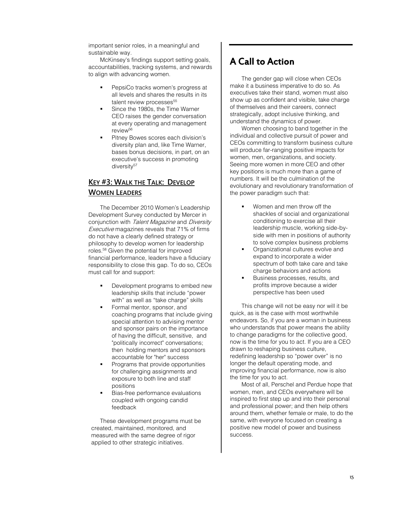important senior roles, in a meaningful and sustainable way.

McKinsey's findings support setting goals, accountabilities, tracking systems, and rewards to align with advancing women.

- PepsiCo tracks women's progress at all levels and shares the results in its talent review processes<sup>55</sup>
- Since the 1980s, the Time Warner CEO raises the gender conversation at every operating and management review<sup>56</sup>
- Pitney Bowes scores each division's diversity plan and, like Time Warner, bases bonus decisions, in part, on an executive's success in promoting diversity<sup>57</sup>

## **KEY #3: WALK THE TALK: DEVELOP WOMEN LEADERS**

The December 2010 Women's Leadership Development Survey conducted by Mercer in conjunction with Talent Magazine and Diversity Executive magazines reveals that 71% of firms do not have a clearly defined strategy or philosophy to develop women for leadership roles. <sup>58</sup> Given the potential for improved financial performance, leaders have a fiduciary responsibility to close this gap. To do so, CEOs must call for and support:

- Development programs to embed new leadership skills that include "power with" as well as "take charge" skills
- Formal mentor, sponsor, and coaching programs that include giving special attention to advising mentor and sponsor pairs on the importance of having the difficult, sensitive, and "politically incorrect" conversations; then holding mentors and sponsors accountable for "her" success
- Programs that provide opportunities for challenging assignments and exposure to both line and staff positions
- Bias-free performance evaluations coupled with ongoing candid feedback

These development programs must be created, maintained, monitored, and measured with the same degree of rigor applied to other strategic initiatives.

# A Call to Action

The gender gap will close when CEOs make it a business imperative to do so. As executives take their stand, women must also show up as confident and visible, take charge of themselves and their careers, connect strategically, adopt inclusive thinking, and understand the dynamics of power.

Women choosing to band together in the individual and collective pursuit of power and CEOs committing to transform business culture will produce far-ranging positive impacts for women, men, organizations, and society. Seeing more women in more CEO and other key positions is much more than a game of numbers. It will be the culmination of the evolutionary and revolutionary transformation of the power paradigm such that:

- Women and men throw off the shackles of social and organizational conditioning to exercise all their leadership muscle, working side-byside with men in positions of authority to solve complex business problems
- Organizational cultures evolve and expand to incorporate a wider spectrum of both take care and take charge behaviors and actions
- Business processes, results, and profits improve because a wider perspective has been used

This change will not be easy nor will it be quick, as is the case with most worthwhile endeavors. So, if you are a woman in business who understands that power means the ability to change paradigms for the collective good, now is the time for you to act. If you are a CEO drawn to reshaping business culture, redefining leadership so "power over" is no longer the default operating mode, and improving financial performance, now is also the time for you to act.

Most of all, Perschel and Perdue hope that women, men, and CEOs everywhere will be inspired to first step up and into their personal and professional power; and then help others around them, whether female or male, to do the same, with everyone focused on creating a positive new model of power and business success.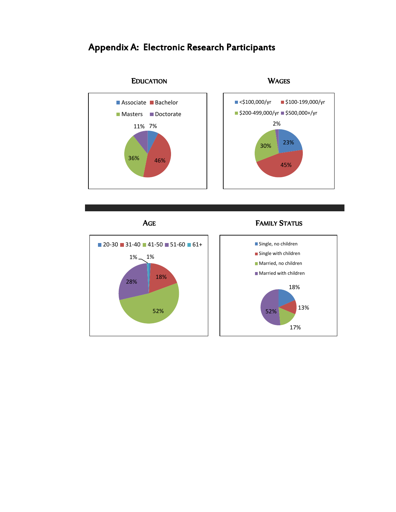

# Appendix A: Electronic Research Participants





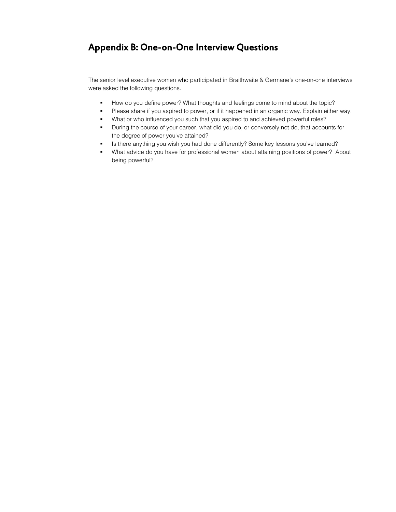# Appendix B: One-on-One Interview Questions

The senior level executive women who participated in Braithwaite & Germane's one-on-one interviews were asked the following questions.

- How do you define power? What thoughts and feelings come to mind about the topic?
- Please share if you aspired to power, or if it happened in an organic way. Explain either way.
- What or who influenced you such that you aspired to and achieved powerful roles?
- During the course of your career, what did you do, or conversely not do, that accounts for the degree of power you've attained?
- Is there anything you wish you had done differently? Some key lessons you've learned?
- What advice do you have for professional women about attaining positions of power? About being powerful?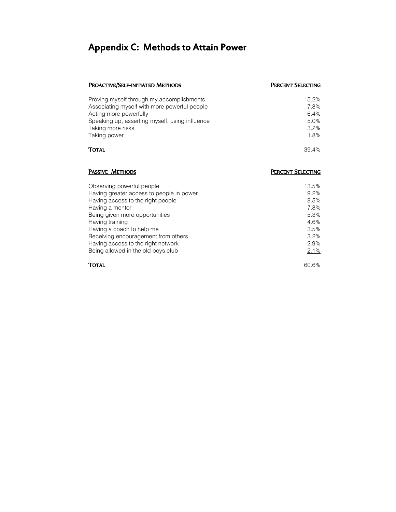# Appendix C: Methods to Attain Power

## PROACTIVE/SELF-INITIATED METHODS **PERCENT SELECTING**

| Proving myself through my accomplishments<br>Associating myself with more powerful people<br>Acting more powerfully<br>Speaking up, asserting myself, using influence<br>Taking more risks | 7.8%<br>6.4%<br>5.0%<br>3.2% |
|--------------------------------------------------------------------------------------------------------------------------------------------------------------------------------------------|------------------------------|
| Taking power                                                                                                                                                                               | 1.8%                         |
| <b>TOTAL</b>                                                                                                                                                                               | 39.4%                        |

| PASSIVE METHODS                                                       | PERCENT SELECTING |
|-----------------------------------------------------------------------|-------------------|
| Observing powerful people<br>Having greater access to people in power | 13.5%<br>9.2%     |
| Having access to the right people                                     | 8.5%              |
| Having a mentor                                                       | 7.8%              |
| Being given more opportunities                                        | 5.3%              |
| Having training                                                       | 4.6%              |
| Having a coach to help me                                             | 3.5%              |
| Receiving encouragement from others                                   | 3.2%              |
| Having access to the right network                                    | 2.9%              |
| Being allowed in the old boys club                                    | 2.1%              |
| <b>TOTAL</b>                                                          | 60.6%             |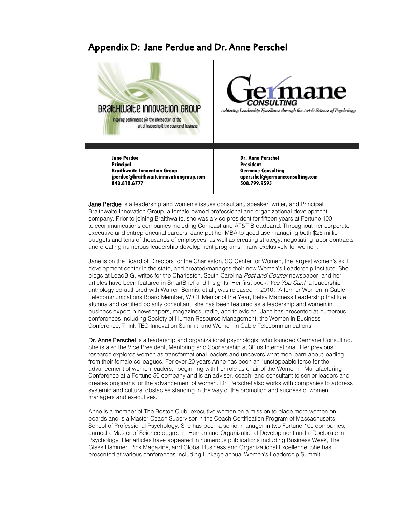## Appendix D: Jane Perdue and Dr. Anne Perschel





**Jane Perdue Principal Braithwaite Innovation Group jperdue@braithwaiteinnovationgroup.com 843.810.6777**

**Dr. Anne Perschel President Germane Consulting aperschel@germaneconsulting.com 508.799.9595**

Jane Perdue is a leadership and women's issues consultant, speaker, writer, and Principal, Braithwaite Innovation Group, a female-owned professional and organizational development company. Prior to joining Braithwaite, she was a vice president for fifteen years at Fortune 100 telecommunications companies including Comcast and AT&T Broadband. Throughout her corporate executive and entrepreneurial careers, Jane put her MBA to good use managing both \$25 million budgets and tens of thousands of employees, as well as creating strategy, negotiating labor contracts and creating numerous leadership development programs, many exclusively for women.

Jane is on the Board of Directors for the Charleston, SC Center for Women, the largest women's skill development center in the state, and created/manages their new Women's Leadership Institute. She blogs at LeadBIG, writes for the Charleston, South Carolina Post and Courier newspaper, and her articles have been featured in SmartBrief and Insights. Her first book, Yes You Can!, a leadership anthology co-authored with Warren Bennis, et al., was released in 2010. A former Women in Cable Telecommunications Board Member, WICT Mentor of the Year, Betsy Magness Leadership Institute alumna and certified polarity consultant, she has been featured as a leadership and women in business expert in newspapers, magazines, radio, and television. Jane has presented at numerous conferences including Society of Human Resource Management, the Women in Business Conference, Think TEC Innovation Summit, and Women in Cable Telecommunications.

Dr. Anne Perschel is a leadership and organizational psychologist who founded Germane Consulting. She is also the Vice President, Mentoring and Sponsorship at 3Plus International. Her previous research explores women as transformational leaders and uncovers what men learn about leading from their female colleagues. For over 20 years Anne has been an "unstoppable force for the advancement of women leaders," beginning with her role as chair of the Women in Manufacturing Conference at a Fortune 50 company and is an advisor, coach, and consultant to senior leaders and creates programs for the advancement of women. Dr. Perschel also works with companies to address systemic and cultural obstacles standing in the way of the promotion and success of women managers and executives.

Anne is a member of The Boston Club, executive women on a mission to place more women on boards and is a Master Coach Supervisor in the Coach Certification Program of Massachusetts School of Professional Psychology. She has been a senior manager in two Fortune 100 companies, earned a Master of Science degree in Human and Organizational Development and a Doctorate in Psychology. Her articles have appeared in numerous publications including Business Week, The Glass Hammer, Pink Magazine, and Global Business and Organizational Excellence. She has presented at various conferences including Linkage annual Women's Leadership Summit.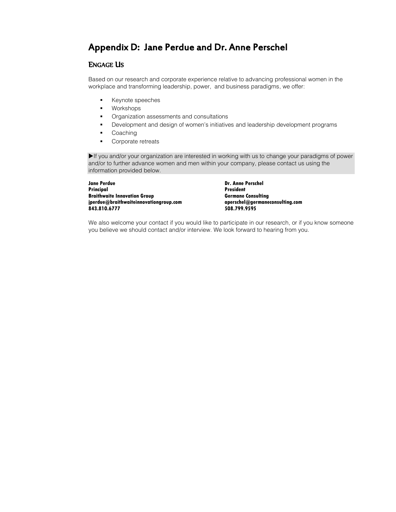# Appendix D: Jane Perdue and Dr. Anne Perschel

## ENGAGE US

Based on our research and corporate experience relative to advancing professional women in the workplace and transforming leadership, power, and business paradigms, we offer:

- **Keynote speeches**
- **•** Workshops
- **•** Organization assessments and consultations
- **Development and design of women's initiatives and leadership development programs**
- **Coaching**
- **Corporate retreats**

If you and/or your organization are interested in working with us to change your paradigms of power and/or to further advance women and men within your company, please contact us using the information provided below.

**Jane Perdue Principal Braithwaite Innovation Group jperdue@braithwaiteinnovationgroup.com 843.810.6777**

**Dr. Anne Perschel President Germane Consulting aperschel@germaneconsulting.com 508.799.9595**

We also welcome your contact if you would like to participate in our research, or if you know someone you believe we should contact and/or interview. We look forward to hearing from you.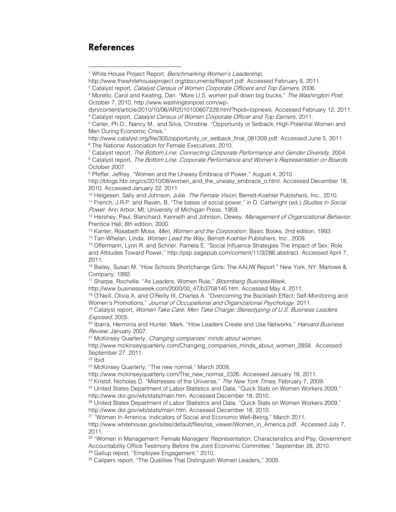## References

 $\overline{a}$ 

http://www.thewhitehouseproject.org/documents/Report.pdf. Accessed February 8, 2011.

http://www.catalyst.org/file/305/opportunity\_or\_setback\_final\_081209.pdf. Accessed June 5, 2011. <sup>6</sup> The National Association for Female Executives, 2010.

<sup>7</sup> Catalyst report, The Bottom Line: Connecting Corporate Performance and Gender Diversity, 2004.

<sup>8</sup> Catalyst report, The Bottom Line: Corporate Performance and Women's Representation on Boards. October 2007.

<sup>9</sup> Pfeffer, Jeffrey. "Women and the Uneasy Embrace of Power," August 4, 2010

http://blogs.hbr.org/cs/2010/08/women\_and\_the\_uneasy\_embrace\_o.html. Accessed December 18, 2010. Accessed January 22, 2011.

<sup>10</sup> Helgesen, Sally and Johnson, Julie. The Female Vision, Berrett-Koehler Publishers, Inc., 2010. <sup>11</sup> French, J.R.P. and Raven, B. "The bases of social power," in D. Cartwright (ed.) Studies in Social

Power. Ann Arbor, MI: University of Michigan Press. 1959. <sup>12</sup> Hershey, Paul; Blanchard, Kenneth and Johnson, Dewey. Management of Organizational Behavior, Prentice Hall; 8th edition, 2000.

<sup>13</sup> Kanter, Rosabeth Moss. Men, Women and the Corporation, Basic Books, 2nd edition, 1993.

<sup>14</sup> Tarr-Whelan, Linda. Women Lead the Way, Berrett-Koehler Publishers, Inc., 2009.

<sup>15</sup> Offermann, Lynn R. and Schrier, Pamela E. "Social Influence Strategies The Impact of Sex, Role and Attitudes Toward Power," http://psp.sagepub.com/content/11/3/286.abstract. Accessed April 7, 2011.

<sup>16</sup> Bailey, Susan M. "How Schools Shortchange Girls: The AAUW Report." New York, NY: Marlowe & Company. 1992.

<sup>17</sup> Sharpe, Rochelle. "As Leaders, Women Rule," Bloomberg BusinessWeek,

http://www.businessweek.com/2000/00\_47/b3708145.htm. Accessed May 4, 2011.

<sup>18</sup> O'Neill, Olivia A. and O'Reilly III, Charles A. "Overcoming the Backlash Effect: Self-Monitoring and Women's Promotions," Journal of Occupational and Organizational Psychology, 2011.

<sup>19</sup> Catalyst report, Women Take Care, Men Take Charge: Stereotyping of U.S. Business Leaders Exposed, 2005.

<sup>20</sup> Ibarra, Herminia and Hunter, Mark. "How Leaders Create and Use Networks," Harvard Business Review, January 2007.

<sup>21</sup> McKinsey Quarterly, *Changing companies' minds about women*,

http://www.mckinseyquarterly.com/Changing\_companies\_minds\_about\_women\_2858. Accessed September 27, 2011.

 $22$  Ibid.

<sup>23</sup> McKinsey Quarterly, "The new normal," March 2009,

http://www.mckinseyquarterly.com/The\_new\_normal\_2326. Accessed January 18, 2011.

<sup>24</sup> Kristof, Nicholas D. "Mistresses of the Universe," The New York Times, February 7, 2009.

<sup>25</sup> United States Department of Labor Statistics and Data, "Quick Stats on Women Workers 2009," http://www.dol.gov/wb/stats/main.htm. Accessed December 18, 2010.

<sup>26</sup> United States Department of Labor Statistics and Data, "Quick Stats on Women Workers 2009," http://www.dol.gov/wb/stats/main.htm. Accessed December 18, 2010.

27 "Women In America: Indicators of Social and Economic Well-Being," March 2011,

http://www.whitehouse.gov/sites/default/files/rss\_viewer/Women\_in\_America.pdf. Accessed July 7, 2011.

<sup>28</sup> "Women in Management: Female Managers' Representation, Characteristics and Pay, Government Accountability Office Testimony Before the Joint Economic Committee," September 28, 2010. <sup>29</sup> Gallup report, "Employee Engagement." 2010.

<sup>30</sup> Calipers report, "The Qualities That Distinguish Women Leaders," 2005.

<sup>&</sup>lt;sup>1</sup> White House Project Report. Benchmarking Women's Leadership,

<sup>&</sup>lt;sup>2</sup> Catalyst report, Catalyst Census of Women Corporate Officers and Top Earners, 2006.

<sup>&</sup>lt;sup>3</sup> Morello, Carol and Keating, Dan. "More U.S. women pull down big bucks," The Washington Post, October 7, 2010, http://www.washingtonpost.com/wp-

dyn/content/article/2010/10/06/AR2010100607229.html?hpid=topnews. Accessed February 12, 2011. <sup>4</sup> Catalyst report, Catalyst Census of Women Corporate Officer and Top Earners, 2011.

<sup>5</sup> Carter, Ph.D., Nancy M., and Silva, Christine. "Opportunity or Setback: High Potential Women and Men During Economic Crisis,"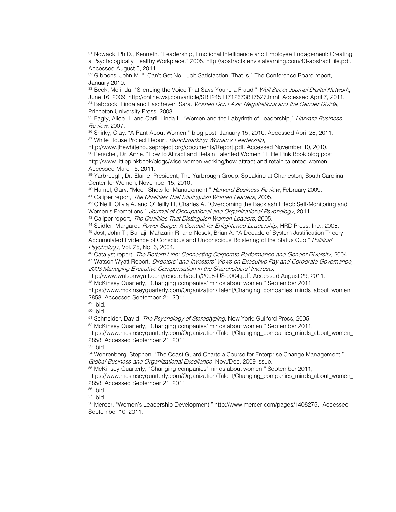<sup>33</sup> Beck, Melinda. "Silencing the Voice That Says You're a Fraud," *Wall Street Journal Digital Network*, June 16, 2009, http://online.wsj.com/article/SB124511712673817527.html. Accessed April 7, 2011. 34 Babcock, Linda and Laschever, Sara. Women Don't Ask: Negotiations and the Gender Divide, Princeton University Press, 2003.

<sup>35</sup> Eagly, Alice H. and Carli, Linda L. "Women and the Labyrinth of Leadership," *Harvard Business* Review, 2007.

<sup>36</sup> Shirky, Clay. "A Rant About Women," blog post, January 15, 2010. Accessed April 28, 2011. <sup>37</sup> White House Project Report. *Benchmarking Women's Leadership*,

http://www.thewhitehouseproject.org/documents/Report.pdf. Accessed November 10, 2010. 38 Perschel, Dr. Anne. "How to Attract and Retain Talented Women," Little Pink Book blog post, http://www.littlepinkbook/blogs/wise-women-working/how-attract-and-retain-talented-women. Accessed March 5, 2011.

<sup>39</sup> Yarbrough, Dr. Elaine. President, The Yarbrough Group. Speaking at Charleston, South Carolina Center for Women, November 15, 2010.

<sup>40</sup> Hamel, Gary. "Moon Shots for Management," Harvard Business Review, February 2009. <sup>41</sup> Caliper report, The Qualities That Distinguish Women Leaders, 2005.

42 O'Neill, Olivia A. and O'Reilly III, Charles A. "Overcoming the Backlash Effect: Self-Monitoring and Women's Promotions," Journal of Occupational and Organizational Psychology, 2011.

43 Caliper report, The Qualities That Distinguish Women Leaders, 2005.

44 Seidler, Margaret. Power Surge: A Conduit for Enlightened Leadership, HRD Press, Inc.; 2008. <sup>45</sup> Jost, John T.; Banaji, Mahzarin R. and Nosek, Brian A. "A Decade of System Justification Theory: Accumulated Evidence of Conscious and Unconscious Bolstering of the Status Quo." Political Psychology, Vol. 25, No. 6, 2004.

46 Catalyst report, The Bottom Line: Connecting Corporate Performance and Gender Diversity, 2004. <sup>47</sup> Watson Wyatt Report. *Directors' and Investors' Views on Executive Pay and Corporate Governance*, 2008 Managing Executive Compensation in the Shareholders' Interests,

http://www.watsonwyatt.com/research/pdfs/2008-US-0004.pdf. Accessed August 29, 2011. <sup>48</sup> McKinsey Quarterly, "Changing companies' minds about women," September 2011,

https://www.mckinseyquarterly.com/Organization/Talent/Changing\_companies\_minds\_about\_women\_ 2858. Accessed September 21, 2011.

<sup>49</sup> Ibid.

**.** 

<sup>50</sup> Ibid.

<sup>51</sup> Schneider, David. The Psychology of Stereotyping, New York: Guilford Press, 2005.

<sup>52</sup> McKinsey Quarterly, "Changing companies' minds about women," September 2011,

https://www.mckinseyquarterly.com/Organization/Talent/Changing\_companies\_minds\_about\_women 2858. Accessed September 21, 2011.

<sup>53</sup> Ibid.

<sup>54</sup> Wehrenberg, Stephen. "The Coast Guard Charts a Course for Enterprise Change Management," Global Business and Organizational Excellence, Nov./Dec. 2009 issue.

<sup>55</sup> McKinsey Quarterly, "Changing companies' minds about women," September 2011,

https://www.mckinseyquarterly.com/Organization/Talent/Changing\_companies\_minds\_about\_women\_ 2858. Accessed September 21, 2011.

<sup>56</sup> Ibid.

 $57$  Ibid.

<sup>58</sup> Mercer, "Women's Leadership Development." http://www.mercer.com/pages/1408275. Accessed September 10, 2011.

<sup>31</sup> Nowack, Ph.D., Kenneth. "Leadership, Emotional Intelligence and Employee Engagement: Creating a Psychologically Healthy Workplace." 2005. http://abstracts.envisialearning.com/43-abstractFile.pdf. Accessed August 5, 2011.

<sup>32</sup> Gibbons, John M. "I Can't Get No...Job Satisfaction, That Is," The Conference Board report, January 2010.